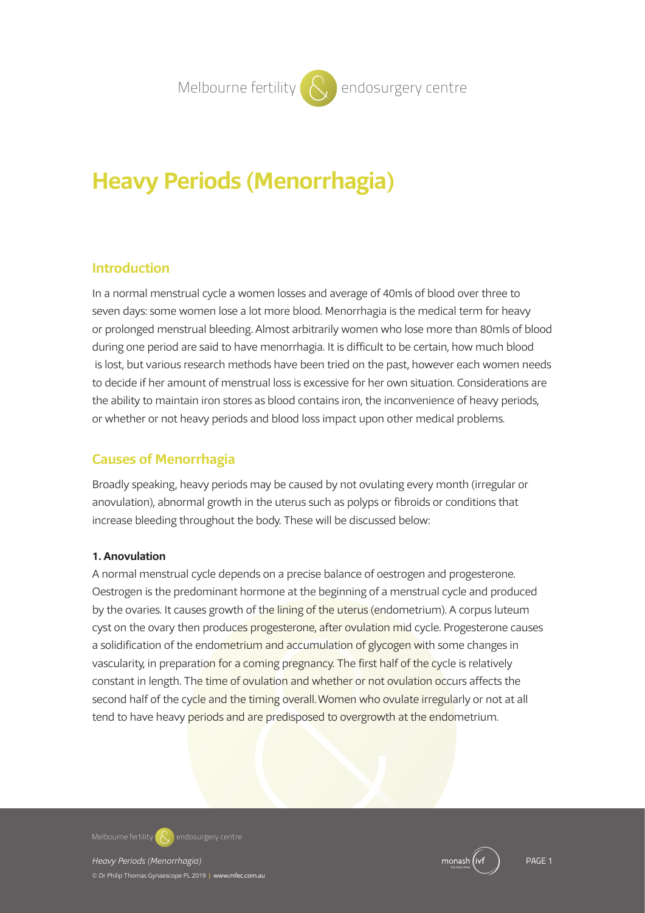# **Heavy Periods (Menorrhagia)**

# **Introduction**

In a normal menstrual cycle a women losses and average of 40mls of blood over three to seven days: some women lose a lot more blood. Menorrhagia is the medical term for heavy or prolonged menstrual bleeding. Almost arbitrarily women who lose more than 80mls of blood during one period are said to have menorrhagia. It is difficult to be certain, how much blood is lost, but various research methods have been tried on the past, however each women needs to decide if her amount of menstrual loss is excessive for her own situation. Considerations are the ability to maintain iron stores as blood contains iron, the inconvenience of heavy periods, or whether or not heavy periods and blood loss impact upon other medical problems.

# **Causes of Menorrhagia**

Broadly speaking, heavy periods may be caused by not ovulating every month (irregular or anovulation), abnormal growth in the uterus such as polyps or fibroids or conditions that increase bleeding throughout the body. These will be discussed below:

### **1. Anovulation**

A normal menstrual cycle depends on a precise balance of oestrogen and progesterone. Oestrogen is the predominant hormone at the beginning of a menstrual cycle and produced by the ovaries. It causes growth of the lining of the uterus (endometrium). A corpus luteum cyst on the ovary then produces progesterone, after ovulation mid cycle. Progesterone causes a solidification of the endometrium and accumulation of glycogen with some changes in vascularity, in preparation for a coming pregnancy. The first half of the cycle is relatively constant in length. The time of ovulation and whether or not ovulation occurs affects the second half of the cycle and the timing overall. Women who ovulate irregularly or not at all tend to have heavy periods and are predisposed to overgrowth at the endometrium.

**Melbourne fertility**  $\left(\bigwedge_{k=1}^{\infty}\right)$  endosurgery centre

Heavy Periods (Menorrhagia) PAGE 1 | PAGE 1 | PAGE 1 | PAGE 1 | PAGE 1 | PAGE 1 | PAGE 1 | PAGE 1 | PAGE 1 | PAGE 1 | PAGE 1 | PAGE 1 | PAGE 1 | PAGE 1 | PAGE 1 | PAGE 1 | PAGE 1 | PAGE 1 | PAGE 1 | PAGE 1 | PAGE 1 | PAGE

© Dr Philip Thomas Gynaescope PL 2019 **|** www.mfec.com.au

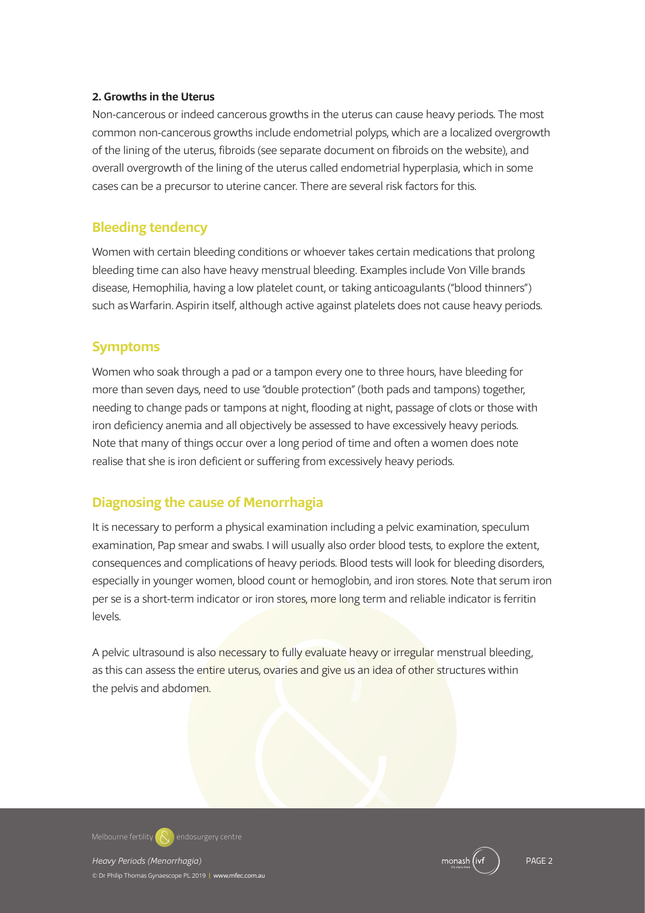#### **2. Growths in the Uterus**

Non-cancerous or indeed cancerous growths in the uterus can cause heavy periods. The most common non-cancerous growths include endometrial polyps, which are a localized overgrowth of the lining of the uterus, fibroids (see separate document on fibroids on the website), and overall overgrowth of the lining of the uterus called endometrial hyperplasia, which in some cases can be a precursor to uterine cancer. There are several risk factors for this.

# **Bleeding tendency**

Women with certain bleeding conditions or whoever takes certain medications that prolong bleeding time can also have heavy menstrual bleeding. Examples include Von Ville brands disease, Hemophilia, having a low platelet count, or taking anticoagulants ("blood thinners") such as Warfarin. Aspirin itself, although active against platelets does not cause heavy periods.

# **Symptoms**

Women who soak through a pad or a tampon every one to three hours, have bleeding for more than seven days, need to use "double protection" (both pads and tampons) together, needing to change pads or tampons at night, flooding at night, passage of clots or those with iron deficiency anemia and all objectively be assessed to have excessively heavy periods. Note that many of things occur over a long period of time and often a women does note realise that she is iron deficient or suffering from excessively heavy periods.

# **Diagnosing the cause of Menorrhagia**

It is necessary to perform a physical examination including a pelvic examination, speculum examination, Pap smear and swabs. I will usually also order blood tests, to explore the extent, consequences and complications of heavy periods. Blood tests will look for bleeding disorders, especially in younger women, blood count or hemoglobin, and iron stores. Note that serum iron per se is a short-term indicator or iron stores, more long term and reliable indicator is ferritin levels.

A pelvic ultrasound is also necessary to fully evaluate heavy or irregular menstrual bleeding, as this can assess the entire uterus, ovaries and give us an idea of other structures within the pelvis and abdomen.

**Melbourne fertility**  $\left(\bigwedge_{k=1}^{\infty}P_{k}\right)$  endosurgery centre

Heavy Periods (Menorrhagia) PAGE 2 | PAGE 2 | PAGE 2 | PAGE 2 | PAGE 2 | PAGE 2 | PAGE 2 | PAGE 2 | PAGE 2 | PAGE 2 | PAGE 2 | PAGE 2 | PAGE 2 | PAGE 2 | PAGE 2 | PAGE 2 | PAGE 2 | PAGE 2 | PAGE 2 | PAGE 2 | PAGE 2 | PAGE

© Dr Philip Thomas Gynaescope PL 2019 **|** www.mfec.com.au

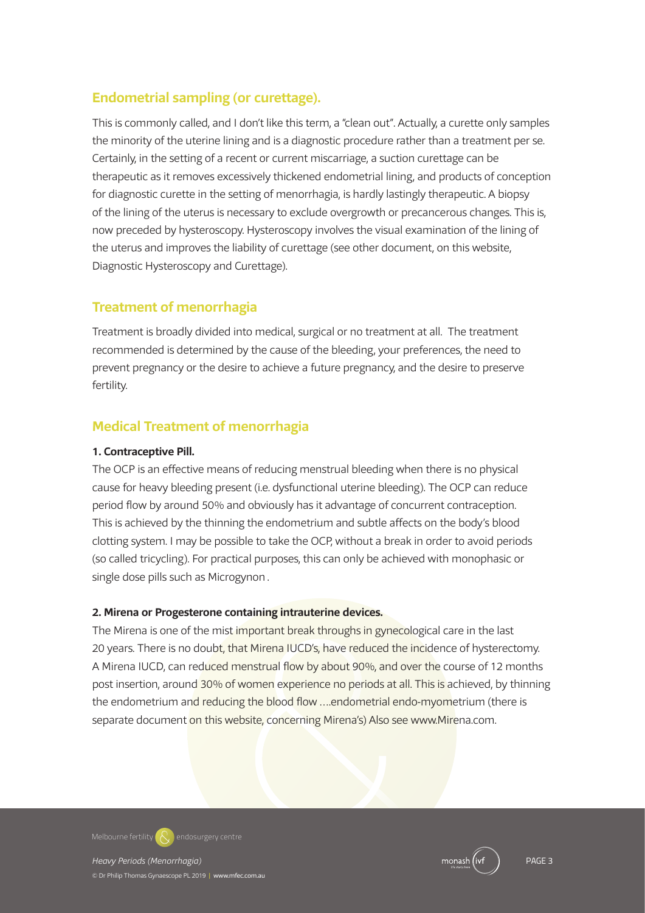# **Endometrial sampling (or curettage).**

This is commonly called, and I don't like this term, a "clean out". Actually, a curette only samples the minority of the uterine lining and is a diagnostic procedure rather than a treatment per se. Certainly, in the setting of a recent or current miscarriage, a suction curettage can be therapeutic as it removes excessively thickened endometrial lining, and products of conception for diagnostic curette in the setting of menorrhagia, is hardly lastingly therapeutic. A biopsy of the lining of the uterus is necessary to exclude overgrowth or precancerous changes. This is, now preceded by hysteroscopy. Hysteroscopy involves the visual examination of the lining of the uterus and improves the liability of curettage (see other document, on this website, Diagnostic Hysteroscopy and Curettage).

# **Treatment of menorrhagia**

Treatment is broadly divided into medical, surgical or no treatment at all. The treatment recommended is determined by the cause of the bleeding, your preferences, the need to prevent pregnancy or the desire to achieve a future pregnancy, and the desire to preserve fertility.

# **Medical Treatment of menorrhagia**

### **1. Contraceptive Pill.**

The OCP is an effective means of reducing menstrual bleeding when there is no physical cause for heavy bleeding present (i.e. dysfunctional uterine bleeding). The OCP can reduce period flow by around 50% and obviously has it advantage of concurrent contraception. This is achieved by the thinning the endometrium and subtle affects on the body's blood clotting system. I may be possible to take the OCP, without a break in order to avoid periods (so called tricycling). For practical purposes, this can only be achieved with monophasic or single dose pills such as Microgynon .

### **2. Mirena or Progesterone containing intrauterine devices.**

The Mirena is one of the mist important break throughs in gynecological care in the last 20 years. There is no doubt, that Mirena IUCD's, have reduced the incidence of hysterectomy. A Mirena IUCD, can reduced menstrual flow by about 90%, and over the course of 12 months post insertion, around 30% of women experience no periods at all. This is achieved, by thinning the endometrium and reducing the blood flow ….endometrial endo-myometrium (there is separate document on this website, concerning Mirena's) Also see www.Mirena.com.

**Melbourne fertility (** $\mathcal{R}$  ) endosurgery centre

Heavy Periods (Menorrhagia) **PAGE 3** PAGE 3 © Dr Philip Thomas Gynaescope PL 2019 **|** www.mfec.com.au

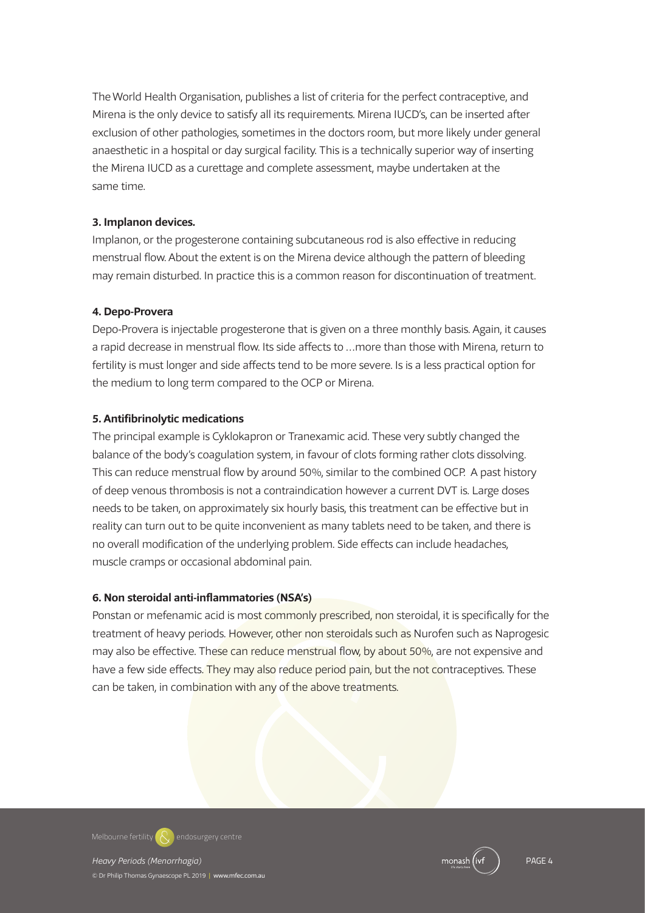The World Health Organisation, publishes a list of criteria for the perfect contraceptive, and Mirena is the only device to satisfy all its requirements. Mirena IUCD's, can be inserted after exclusion of other pathologies, sometimes in the doctors room, but more likely under general anaesthetic in a hospital or day surgical facility. This is a technically superior way of inserting the Mirena IUCD as a curettage and complete assessment, maybe undertaken at the same time.

#### **3. Implanon devices.**

Implanon, or the progesterone containing subcutaneous rod is also effective in reducing menstrual flow. About the extent is on the Mirena device although the pattern of bleeding may remain disturbed. In practice this is a common reason for discontinuation of treatment.

#### **4. Depo-Provera**

Depo-Provera is injectable progesterone that is given on a three monthly basis. Again, it causes a rapid decrease in menstrual flow. Its side affects to …more than those with Mirena, return to fertility is must longer and side affects tend to be more severe. Is is a less practical option for the medium to long term compared to the OCP or Mirena.

#### **5. Antifibrinolytic medications**

The principal example is Cyklokapron or Tranexamic acid. These very subtly changed the balance of the body's coagulation system, in favour of clots forming rather clots dissolving. This can reduce menstrual flow by around 50%, similar to the combined OCP. A past history of deep venous thrombosis is not a contraindication however a current DVT is. Large doses needs to be taken, on approximately six hourly basis, this treatment can be effective but in reality can turn out to be quite inconvenient as many tablets need to be taken, and there is no overall modification of the underlying problem. Side effects can include headaches, muscle cramps or occasional abdominal pain.

#### **6. Non steroidal anti-inflammatories (NSA's)**

Ponstan or mefenamic acid is most commonly prescribed, non steroidal, it is specifically for the treatment of heavy periods. However, other non steroidals such as Nurofen such as Naprogesic may also be effective. These can reduce menstrual flow, by about 50%, are not expensive and have a few side effects. They may also reduce period pain, but the not contraceptives. These can be taken, in combination with any of the above treatments.

**Melbourne fertility**  $\left(\bigwedge_{k=1}^{\infty}P_{k}\right)$  endosurgery centre

Heavy Periods (Menorrhagia) PAGE 4

© Dr Philip Thomas Gynaescope PL 2019 **|** www.mfec.com.au

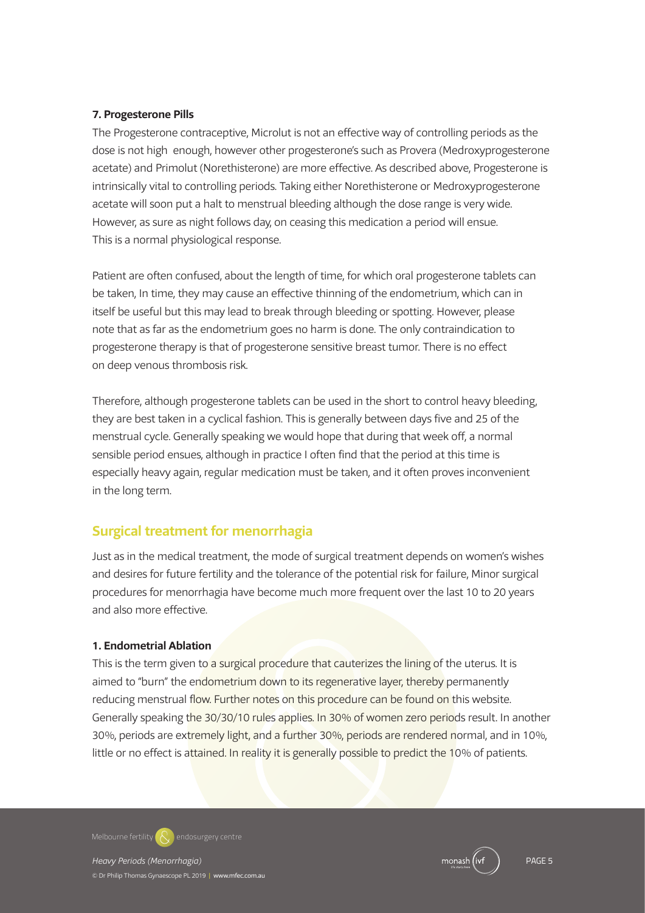#### **7. Progesterone Pills**

The Progesterone contraceptive, Microlut is not an effective way of controlling periods as the dose is not high enough, however other progesterone's such as Provera (Medroxyprogesterone acetate) and Primolut (Norethisterone) are more effective. As described above, Progesterone is intrinsically vital to controlling periods. Taking either Norethisterone or Medroxyprogesterone acetate will soon put a halt to menstrual bleeding although the dose range is very wide. However, as sure as night follows day, on ceasing this medication a period will ensue. This is a normal physiological response.

Patient are often confused, about the length of time, for which oral progesterone tablets can be taken, In time, they may cause an effective thinning of the endometrium, which can in itself be useful but this may lead to break through bleeding or spotting. However, please note that as far as the endometrium goes no harm is done. The only contraindication to progesterone therapy is that of progesterone sensitive breast tumor. There is no effect on deep venous thrombosis risk.

Therefore, although progesterone tablets can be used in the short to control heavy bleeding, they are best taken in a cyclical fashion. This is generally between days five and 25 of the menstrual cycle. Generally speaking we would hope that during that week off, a normal sensible period ensues, although in practice I often find that the period at this time is especially heavy again, regular medication must be taken, and it often proves inconvenient in the long term.

# **Surgical treatment for menorrhagia**

Just as in the medical treatment, the mode of surgical treatment depends on women's wishes and desires for future fertility and the tolerance of the potential risk for failure, Minor surgical procedures for menorrhagia have become much more frequent over the last 10 to 20 years and also more effective.

### **1. Endometrial Ablation**

This is the term given to a surgical procedure that cauterizes the lining of the uterus. It is aimed to "burn" the endometrium down to its regenerative layer, thereby permanently reducing menstrual flow. Further notes on this procedure can be found on this website. Generally speaking the 30/30/10 rules applies. In 30% of women zero periods result. In another 30%, periods are extremely light, and a further 30%, periods are rendered normal, and in 10%, little or no effect is attained. In reality it is generally possible to predict the 10% of patients.

**Melbourne fertility**  $\left(\bigwedge_{k=1}^{\infty}P_{k}\right)$  endosurgery centre

Heavy Periods (Menorrhagia) PAGE 5 (Page 1999) PAGE 5 © Dr Philip Thomas Gynaescope PL 2019 **|** www.mfec.com.au